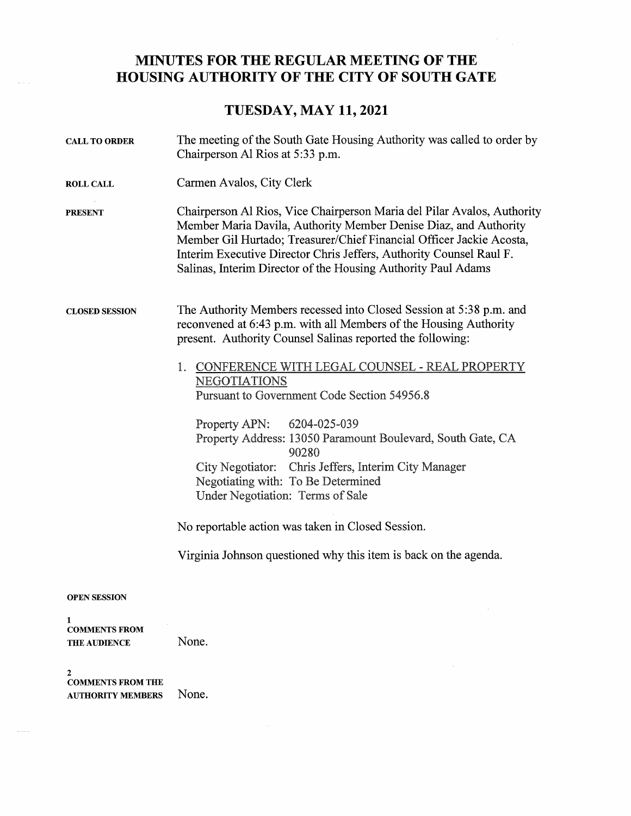## MINUTES FOR THE REGULAR MEETING OF THE HOUSING AUTHORITY OF THE CITY OF SOUTH GATE

## TUESDAY, MAY 11, 2021

| <b>CALL TO ORDER</b>                             | The meeting of the South Gate Housing Authority was called to order by<br>Chairperson Al Rios at 5:33 p.m.                                                                                                                                                                                                                                                  |
|--------------------------------------------------|-------------------------------------------------------------------------------------------------------------------------------------------------------------------------------------------------------------------------------------------------------------------------------------------------------------------------------------------------------------|
| <b>ROLL CALL</b>                                 | Carmen Avalos, City Clerk                                                                                                                                                                                                                                                                                                                                   |
| <b>PRESENT</b>                                   | Chairperson Al Rios, Vice Chairperson Maria del Pilar Avalos, Authority<br>Member Maria Davila, Authority Member Denise Diaz, and Authority<br>Member Gil Hurtado; Treasurer/Chief Financial Officer Jackie Acosta,<br>Interim Executive Director Chris Jeffers, Authority Counsel Raul F.<br>Salinas, Interim Director of the Housing Authority Paul Adams |
| <b>CLOSED SESSION</b>                            | The Authority Members recessed into Closed Session at 5:38 p.m. and<br>reconvened at 6:43 p.m. with all Members of the Housing Authority<br>present. Authority Counsel Salinas reported the following:                                                                                                                                                      |
|                                                  | CONFERENCE WITH LEGAL COUNSEL - REAL PROPERTY<br>1.<br>NEGOTIATIONS<br>Pursuant to Government Code Section 54956.8                                                                                                                                                                                                                                          |
|                                                  | Property APN: 6204-025-039<br>Property Address: 13050 Paramount Boulevard, South Gate, CA<br>90280<br>City Negotiator: Chris Jeffers, Interim City Manager<br>Negotiating with: To Be Determined<br>Under Negotiation: Terms of Sale                                                                                                                        |
|                                                  | No reportable action was taken in Closed Session.                                                                                                                                                                                                                                                                                                           |
|                                                  | Virginia Johnson questioned why this item is back on the agenda.                                                                                                                                                                                                                                                                                            |
| <b>OPEN SESSION</b>                              |                                                                                                                                                                                                                                                                                                                                                             |
| 1<br><b>COMMENTS FROM</b><br><b>THE AUDIENCE</b> | None.                                                                                                                                                                                                                                                                                                                                                       |
| 2<br><b>COMMENTS FROM THE</b>                    |                                                                                                                                                                                                                                                                                                                                                             |

AUTHORITY MEMBERS None.